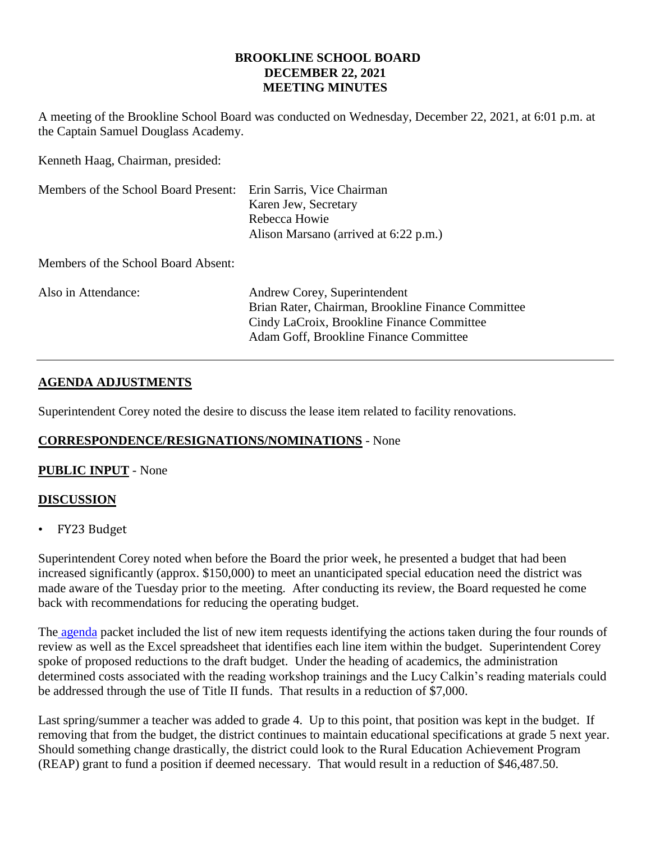#### **BROOKLINE SCHOOL BOARD DECEMBER 22, 2021 MEETING MINUTES**

A meeting of the Brookline School Board was conducted on Wednesday, December 22, 2021, at 6:01 p.m. at the Captain Samuel Douglass Academy.

Kenneth Haag, Chairman, presided:

| Members of the School Board Present: Erin Sarris, Vice Chairman | Karen Jew, Secretary<br>Rebecca Howie<br>Alison Marsano (arrived at 6:22 p.m.)                                                                                             |
|-----------------------------------------------------------------|----------------------------------------------------------------------------------------------------------------------------------------------------------------------------|
| Members of the School Board Absent:                             |                                                                                                                                                                            |
| Also in Attendance:                                             | Andrew Corey, Superintendent<br>Brian Rater, Chairman, Brookline Finance Committee<br>Cindy LaCroix, Brookline Finance Committee<br>Adam Goff, Brookline Finance Committee |

# **AGENDA ADJUSTMENTS**

Superintendent Corey noted the desire to discuss the lease item related to facility renovations.

# **CORRESPONDENCE/RESIGNATIONS/NOMINATIONS** - None

## **PUBLIC INPUT** - None

## **DISCUSSION**

• FY23 Budget

Superintendent Corey noted when before the Board the prior week, he presented a budget that had been increased significantly (approx. \$150,000) to meet an unanticipated special education need the district was made aware of the Tuesday prior to the meeting. After conducting its review, the Board requested he come back with recommendations for reducing the operating budget.

The [agenda](https://www.sau41.org/docs/district/depts/112/bsb%20agenda%20packet%2012-22-21.pdf?id=2619) packet included the list of new item requests identifying the actions taken during the four rounds of review as well as the Excel spreadsheet that identifies each line item within the budget. Superintendent Corey spoke of proposed reductions to the draft budget. Under the heading of academics, the administration determined costs associated with the reading workshop trainings and the Lucy Calkin's reading materials could be addressed through the use of Title II funds. That results in a reduction of \$7,000.

Last spring/summer a teacher was added to grade 4. Up to this point, that position was kept in the budget. If removing that from the budget, the district continues to maintain educational specifications at grade 5 next year. Should something change drastically, the district could look to the Rural Education Achievement Program (REAP) grant to fund a position if deemed necessary. That would result in a reduction of \$46,487.50.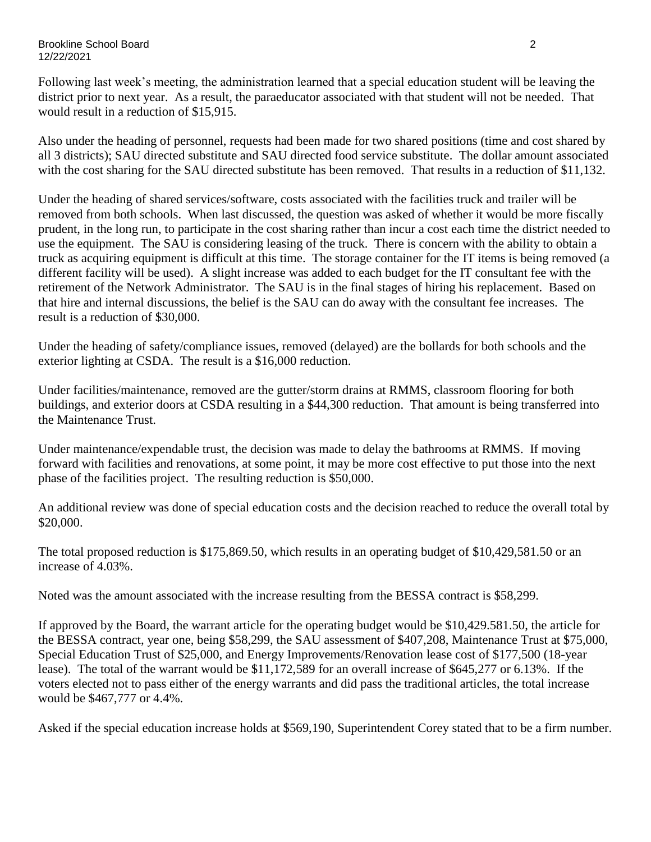Following last week's meeting, the administration learned that a special education student will be leaving the district prior to next year. As a result, the paraeducator associated with that student will not be needed. That would result in a reduction of \$15,915.

Also under the heading of personnel, requests had been made for two shared positions (time and cost shared by all 3 districts); SAU directed substitute and SAU directed food service substitute. The dollar amount associated with the cost sharing for the SAU directed substitute has been removed. That results in a reduction of \$11,132.

Under the heading of shared services/software, costs associated with the facilities truck and trailer will be removed from both schools. When last discussed, the question was asked of whether it would be more fiscally prudent, in the long run, to participate in the cost sharing rather than incur a cost each time the district needed to use the equipment. The SAU is considering leasing of the truck. There is concern with the ability to obtain a truck as acquiring equipment is difficult at this time. The storage container for the IT items is being removed (a different facility will be used). A slight increase was added to each budget for the IT consultant fee with the retirement of the Network Administrator. The SAU is in the final stages of hiring his replacement. Based on that hire and internal discussions, the belief is the SAU can do away with the consultant fee increases. The result is a reduction of \$30,000.

Under the heading of safety/compliance issues, removed (delayed) are the bollards for both schools and the exterior lighting at CSDA. The result is a \$16,000 reduction.

Under facilities/maintenance, removed are the gutter/storm drains at RMMS, classroom flooring for both buildings, and exterior doors at CSDA resulting in a \$44,300 reduction. That amount is being transferred into the Maintenance Trust.

Under maintenance/expendable trust, the decision was made to delay the bathrooms at RMMS. If moving forward with facilities and renovations, at some point, it may be more cost effective to put those into the next phase of the facilities project. The resulting reduction is \$50,000.

An additional review was done of special education costs and the decision reached to reduce the overall total by \$20,000.

The total proposed reduction is \$175,869.50, which results in an operating budget of \$10,429,581.50 or an increase of 4.03%.

Noted was the amount associated with the increase resulting from the BESSA contract is \$58,299.

If approved by the Board, the warrant article for the operating budget would be \$10,429.581.50, the article for the BESSA contract, year one, being \$58,299, the SAU assessment of \$407,208, Maintenance Trust at \$75,000, Special Education Trust of \$25,000, and Energy Improvements/Renovation lease cost of \$177,500 (18-year lease). The total of the warrant would be \$11,172,589 for an overall increase of \$645,277 or 6.13%. If the voters elected not to pass either of the energy warrants and did pass the traditional articles, the total increase would be \$467,777 or 4.4%.

Asked if the special education increase holds at \$569,190, Superintendent Corey stated that to be a firm number.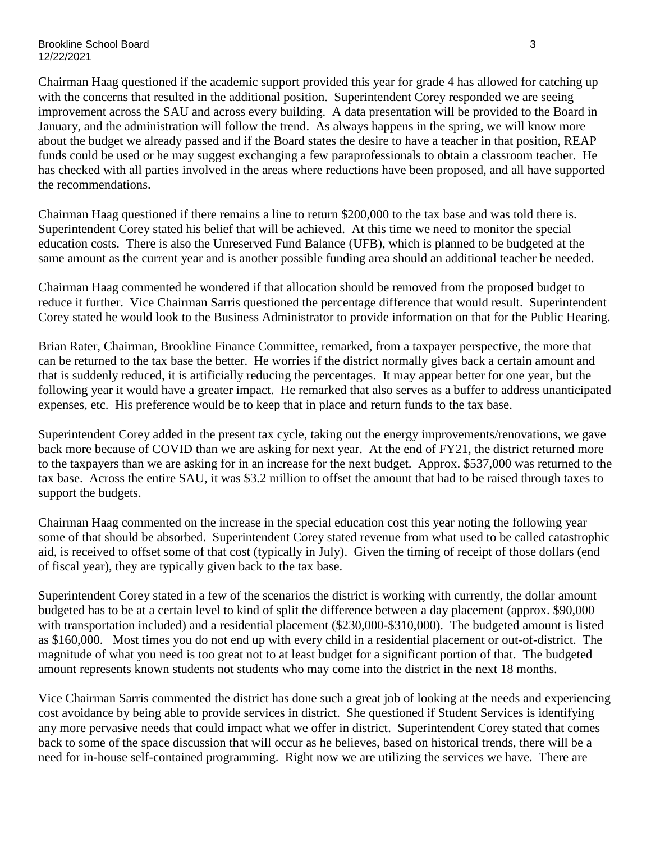Brookline School Board 3 and 3 and 3 and 3 and 3 and 3 and 3 and 3 and 3 and 3 and 3 and 3 and 3 and 3 and 3 and 3 and 3 and 3 and 3 and 3 and 3 and 3 and 3 and 3 and 3 and 3 and 3 and 3 and 3 and 3 and 3 and 3 and 3 and 3 12/22/2021

Chairman Haag questioned if the academic support provided this year for grade 4 has allowed for catching up with the concerns that resulted in the additional position. Superintendent Corey responded we are seeing improvement across the SAU and across every building. A data presentation will be provided to the Board in January, and the administration will follow the trend. As always happens in the spring, we will know more about the budget we already passed and if the Board states the desire to have a teacher in that position, REAP funds could be used or he may suggest exchanging a few paraprofessionals to obtain a classroom teacher. He has checked with all parties involved in the areas where reductions have been proposed, and all have supported the recommendations.

Chairman Haag questioned if there remains a line to return \$200,000 to the tax base and was told there is. Superintendent Corey stated his belief that will be achieved. At this time we need to monitor the special education costs. There is also the Unreserved Fund Balance (UFB), which is planned to be budgeted at the same amount as the current year and is another possible funding area should an additional teacher be needed.

Chairman Haag commented he wondered if that allocation should be removed from the proposed budget to reduce it further. Vice Chairman Sarris questioned the percentage difference that would result. Superintendent Corey stated he would look to the Business Administrator to provide information on that for the Public Hearing.

Brian Rater, Chairman, Brookline Finance Committee, remarked, from a taxpayer perspective, the more that can be returned to the tax base the better. He worries if the district normally gives back a certain amount and that is suddenly reduced, it is artificially reducing the percentages. It may appear better for one year, but the following year it would have a greater impact. He remarked that also serves as a buffer to address unanticipated expenses, etc. His preference would be to keep that in place and return funds to the tax base.

Superintendent Corey added in the present tax cycle, taking out the energy improvements/renovations, we gave back more because of COVID than we are asking for next year. At the end of FY21, the district returned more to the taxpayers than we are asking for in an increase for the next budget. Approx. \$537,000 was returned to the tax base. Across the entire SAU, it was \$3.2 million to offset the amount that had to be raised through taxes to support the budgets.

Chairman Haag commented on the increase in the special education cost this year noting the following year some of that should be absorbed. Superintendent Corey stated revenue from what used to be called catastrophic aid, is received to offset some of that cost (typically in July). Given the timing of receipt of those dollars (end of fiscal year), they are typically given back to the tax base.

Superintendent Corey stated in a few of the scenarios the district is working with currently, the dollar amount budgeted has to be at a certain level to kind of split the difference between a day placement (approx. \$90,000 with transportation included) and a residential placement (\$230,000-\$310,000). The budgeted amount is listed as \$160,000. Most times you do not end up with every child in a residential placement or out-of-district. The magnitude of what you need is too great not to at least budget for a significant portion of that. The budgeted amount represents known students not students who may come into the district in the next 18 months.

Vice Chairman Sarris commented the district has done such a great job of looking at the needs and experiencing cost avoidance by being able to provide services in district. She questioned if Student Services is identifying any more pervasive needs that could impact what we offer in district. Superintendent Corey stated that comes back to some of the space discussion that will occur as he believes, based on historical trends, there will be a need for in-house self-contained programming. Right now we are utilizing the services we have. There are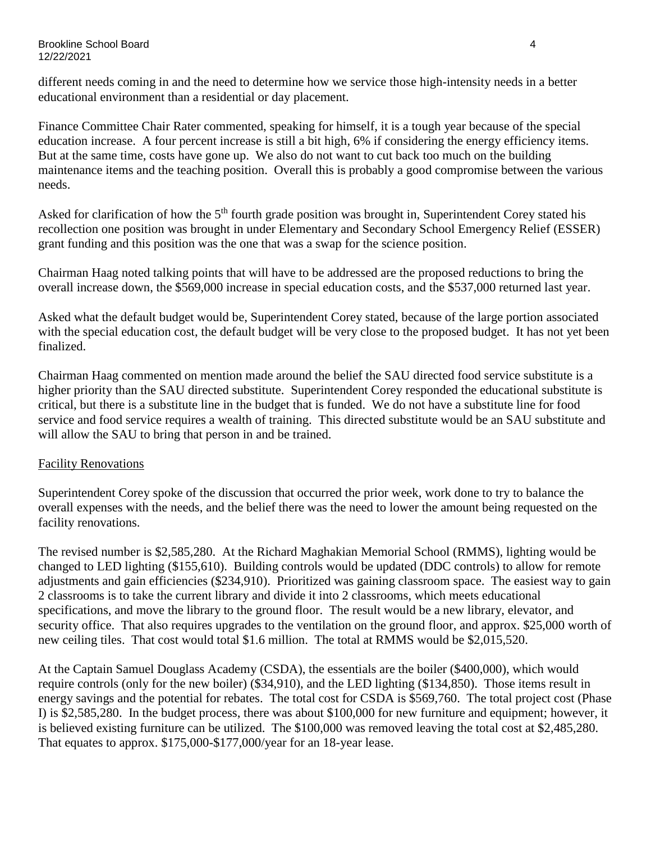different needs coming in and the need to determine how we service those high-intensity needs in a better educational environment than a residential or day placement.

Finance Committee Chair Rater commented, speaking for himself, it is a tough year because of the special education increase. A four percent increase is still a bit high, 6% if considering the energy efficiency items. But at the same time, costs have gone up. We also do not want to cut back too much on the building maintenance items and the teaching position. Overall this is probably a good compromise between the various needs.

Asked for clarification of how the  $5<sup>th</sup>$  fourth grade position was brought in, Superintendent Corey stated his recollection one position was brought in under Elementary and Secondary School Emergency Relief (ESSER) grant funding and this position was the one that was a swap for the science position.

Chairman Haag noted talking points that will have to be addressed are the proposed reductions to bring the overall increase down, the \$569,000 increase in special education costs, and the \$537,000 returned last year.

Asked what the default budget would be, Superintendent Corey stated, because of the large portion associated with the special education cost, the default budget will be very close to the proposed budget. It has not yet been finalized.

Chairman Haag commented on mention made around the belief the SAU directed food service substitute is a higher priority than the SAU directed substitute. Superintendent Corey responded the educational substitute is critical, but there is a substitute line in the budget that is funded. We do not have a substitute line for food service and food service requires a wealth of training. This directed substitute would be an SAU substitute and will allow the SAU to bring that person in and be trained.

## Facility Renovations

Superintendent Corey spoke of the discussion that occurred the prior week, work done to try to balance the overall expenses with the needs, and the belief there was the need to lower the amount being requested on the facility renovations.

The revised number is \$2,585,280. At the Richard Maghakian Memorial School (RMMS), lighting would be changed to LED lighting (\$155,610). Building controls would be updated (DDC controls) to allow for remote adjustments and gain efficiencies (\$234,910). Prioritized was gaining classroom space. The easiest way to gain 2 classrooms is to take the current library and divide it into 2 classrooms, which meets educational specifications, and move the library to the ground floor. The result would be a new library, elevator, and security office. That also requires upgrades to the ventilation on the ground floor, and approx. \$25,000 worth of new ceiling tiles. That cost would total \$1.6 million. The total at RMMS would be \$2,015,520.

At the Captain Samuel Douglass Academy (CSDA), the essentials are the boiler (\$400,000), which would require controls (only for the new boiler) (\$34,910), and the LED lighting (\$134,850). Those items result in energy savings and the potential for rebates. The total cost for CSDA is \$569,760. The total project cost (Phase I) is \$2,585,280. In the budget process, there was about \$100,000 for new furniture and equipment; however, it is believed existing furniture can be utilized. The \$100,000 was removed leaving the total cost at \$2,485,280. That equates to approx. \$175,000-\$177,000/year for an 18-year lease.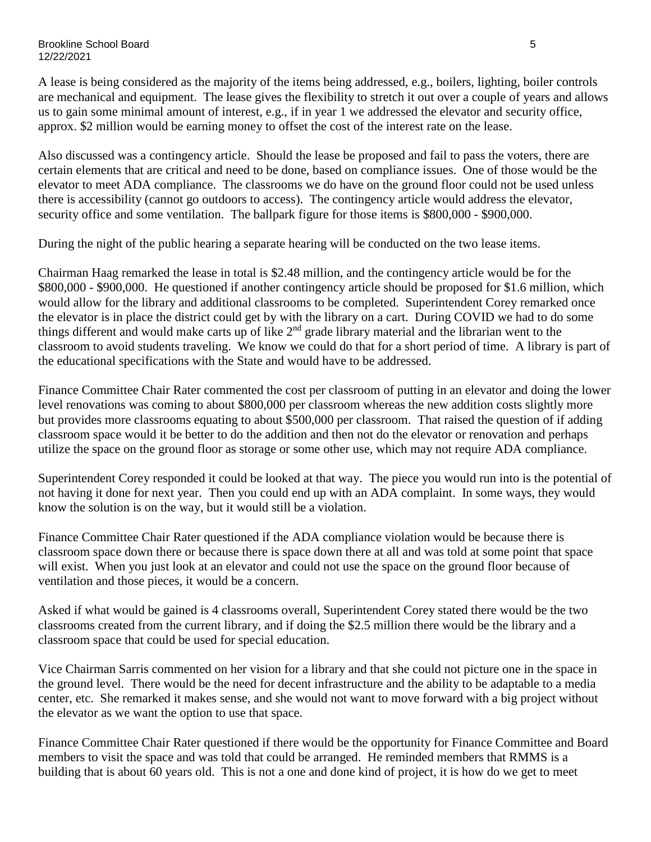A lease is being considered as the majority of the items being addressed, e.g., boilers, lighting, boiler controls are mechanical and equipment. The lease gives the flexibility to stretch it out over a couple of years and allows us to gain some minimal amount of interest, e.g., if in year 1 we addressed the elevator and security office, approx. \$2 million would be earning money to offset the cost of the interest rate on the lease.

Also discussed was a contingency article. Should the lease be proposed and fail to pass the voters, there are certain elements that are critical and need to be done, based on compliance issues. One of those would be the elevator to meet ADA compliance. The classrooms we do have on the ground floor could not be used unless there is accessibility (cannot go outdoors to access). The contingency article would address the elevator, security office and some ventilation. The ballpark figure for those items is \$800,000 - \$900,000.

During the night of the public hearing a separate hearing will be conducted on the two lease items.

Chairman Haag remarked the lease in total is \$2.48 million, and the contingency article would be for the \$800,000 - \$900,000. He questioned if another contingency article should be proposed for \$1.6 million, which would allow for the library and additional classrooms to be completed. Superintendent Corey remarked once the elevator is in place the district could get by with the library on a cart. During COVID we had to do some things different and would make carts up of like  $2<sup>nd</sup>$  grade library material and the librarian went to the classroom to avoid students traveling. We know we could do that for a short period of time. A library is part of the educational specifications with the State and would have to be addressed.

Finance Committee Chair Rater commented the cost per classroom of putting in an elevator and doing the lower level renovations was coming to about \$800,000 per classroom whereas the new addition costs slightly more but provides more classrooms equating to about \$500,000 per classroom. That raised the question of if adding classroom space would it be better to do the addition and then not do the elevator or renovation and perhaps utilize the space on the ground floor as storage or some other use, which may not require ADA compliance.

Superintendent Corey responded it could be looked at that way. The piece you would run into is the potential of not having it done for next year. Then you could end up with an ADA complaint. In some ways, they would know the solution is on the way, but it would still be a violation.

Finance Committee Chair Rater questioned if the ADA compliance violation would be because there is classroom space down there or because there is space down there at all and was told at some point that space will exist. When you just look at an elevator and could not use the space on the ground floor because of ventilation and those pieces, it would be a concern.

Asked if what would be gained is 4 classrooms overall, Superintendent Corey stated there would be the two classrooms created from the current library, and if doing the \$2.5 million there would be the library and a classroom space that could be used for special education.

Vice Chairman Sarris commented on her vision for a library and that she could not picture one in the space in the ground level. There would be the need for decent infrastructure and the ability to be adaptable to a media center, etc. She remarked it makes sense, and she would not want to move forward with a big project without the elevator as we want the option to use that space.

Finance Committee Chair Rater questioned if there would be the opportunity for Finance Committee and Board members to visit the space and was told that could be arranged. He reminded members that RMMS is a building that is about 60 years old. This is not a one and done kind of project, it is how do we get to meet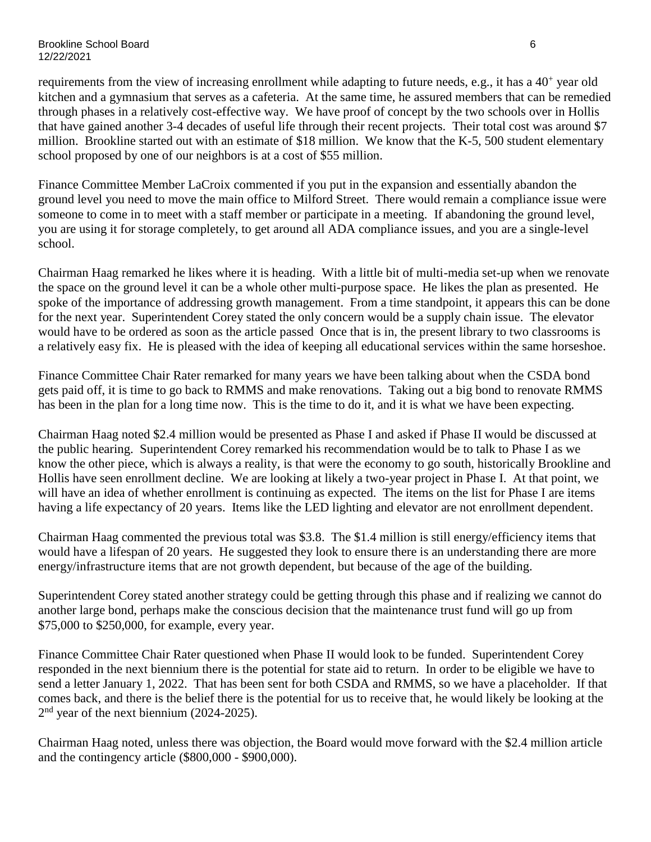Brookline School Board 6 12/22/2021

requirements from the view of increasing enrollment while adapting to future needs, e.g., it has a 40<sup>+</sup> year old kitchen and a gymnasium that serves as a cafeteria. At the same time, he assured members that can be remedied through phases in a relatively cost-effective way. We have proof of concept by the two schools over in Hollis that have gained another 3-4 decades of useful life through their recent projects. Their total cost was around \$7 million. Brookline started out with an estimate of \$18 million. We know that the K-5, 500 student elementary school proposed by one of our neighbors is at a cost of \$55 million.

Finance Committee Member LaCroix commented if you put in the expansion and essentially abandon the ground level you need to move the main office to Milford Street. There would remain a compliance issue were someone to come in to meet with a staff member or participate in a meeting. If abandoning the ground level, you are using it for storage completely, to get around all ADA compliance issues, and you are a single-level school.

Chairman Haag remarked he likes where it is heading. With a little bit of multi-media set-up when we renovate the space on the ground level it can be a whole other multi-purpose space. He likes the plan as presented. He spoke of the importance of addressing growth management. From a time standpoint, it appears this can be done for the next year. Superintendent Corey stated the only concern would be a supply chain issue. The elevator would have to be ordered as soon as the article passed Once that is in, the present library to two classrooms is a relatively easy fix. He is pleased with the idea of keeping all educational services within the same horseshoe.

Finance Committee Chair Rater remarked for many years we have been talking about when the CSDA bond gets paid off, it is time to go back to RMMS and make renovations. Taking out a big bond to renovate RMMS has been in the plan for a long time now. This is the time to do it, and it is what we have been expecting.

Chairman Haag noted \$2.4 million would be presented as Phase I and asked if Phase II would be discussed at the public hearing. Superintendent Corey remarked his recommendation would be to talk to Phase I as we know the other piece, which is always a reality, is that were the economy to go south, historically Brookline and Hollis have seen enrollment decline. We are looking at likely a two-year project in Phase I. At that point, we will have an idea of whether enrollment is continuing as expected. The items on the list for Phase I are items having a life expectancy of 20 years. Items like the LED lighting and elevator are not enrollment dependent.

Chairman Haag commented the previous total was \$3.8. The \$1.4 million is still energy/efficiency items that would have a lifespan of 20 years. He suggested they look to ensure there is an understanding there are more energy/infrastructure items that are not growth dependent, but because of the age of the building.

Superintendent Corey stated another strategy could be getting through this phase and if realizing we cannot do another large bond, perhaps make the conscious decision that the maintenance trust fund will go up from \$75,000 to \$250,000, for example, every year.

Finance Committee Chair Rater questioned when Phase II would look to be funded. Superintendent Corey responded in the next biennium there is the potential for state aid to return. In order to be eligible we have to send a letter January 1, 2022. That has been sent for both CSDA and RMMS, so we have a placeholder. If that comes back, and there is the belief there is the potential for us to receive that, he would likely be looking at the 2<sup>nd</sup> year of the next biennium (2024-2025).

Chairman Haag noted, unless there was objection, the Board would move forward with the \$2.4 million article and the contingency article (\$800,000 - \$900,000).